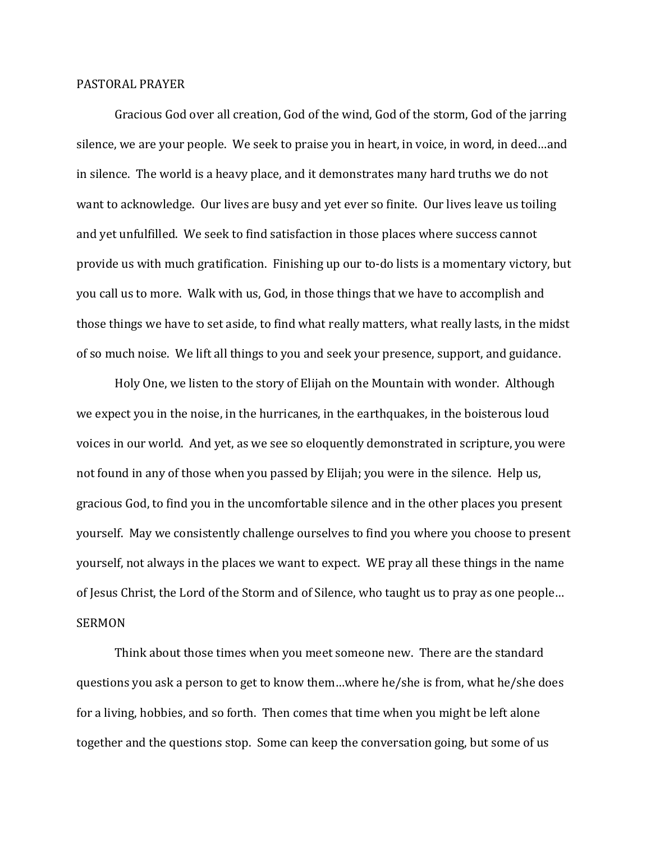## PASTORAL PRAYER

Gracious God over all creation, God of the wind, God of the storm, God of the jarring silence, we are your people. We seek to praise you in heart, in voice, in word, in deed…and in silence. The world is a heavy place, and it demonstrates many hard truths we do not want to acknowledge. Our lives are busy and yet ever so finite. Our lives leave us toiling and yet unfulfilled. We seek to find satisfaction in those places where success cannot provide us with much gratification. Finishing up our to-do lists is a momentary victory, but you call us to more. Walk with us, God, in those things that we have to accomplish and those things we have to set aside, to find what really matters, what really lasts, in the midst of so much noise. We lift all things to you and seek your presence, support, and guidance.

Holy One, we listen to the story of Elijah on the Mountain with wonder. Although we expect you in the noise, in the hurricanes, in the earthquakes, in the boisterous loud voices in our world. And yet, as we see so eloquently demonstrated in scripture, you were not found in any of those when you passed by Elijah; you were in the silence. Help us, gracious God, to find you in the uncomfortable silence and in the other places you present yourself. May we consistently challenge ourselves to find you where you choose to present yourself, not always in the places we want to expect. WE pray all these things in the name of Jesus Christ, the Lord of the Storm and of Silence, who taught us to pray as one people… SERMON

Think about those times when you meet someone new. There are the standard questions you ask a person to get to know them…where he/she is from, what he/she does for a living, hobbies, and so forth. Then comes that time when you might be left alone together and the questions stop. Some can keep the conversation going, but some of us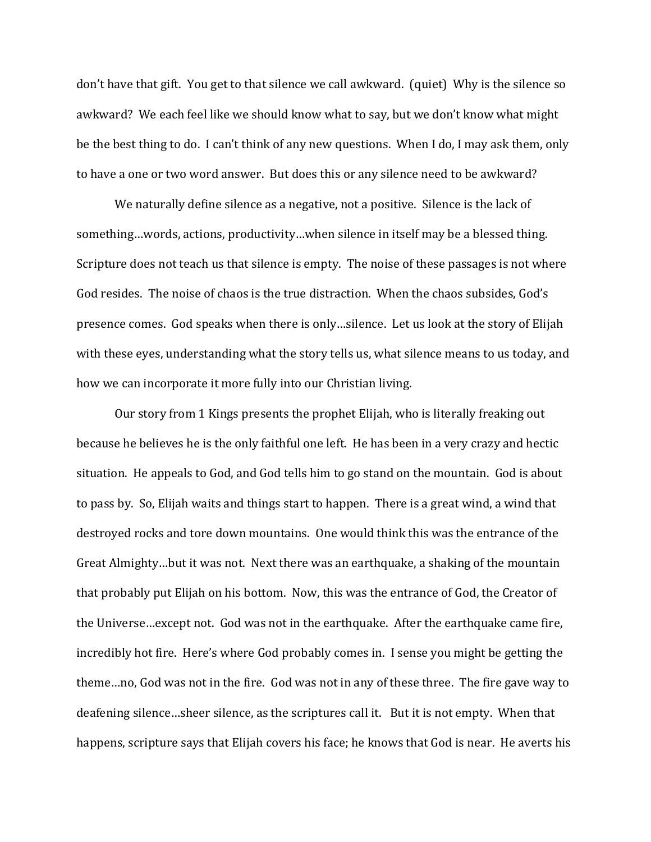don't have that gift. You get to that silence we call awkward. (quiet) Why is the silence so awkward? We each feel like we should know what to say, but we don't know what might be the best thing to do. I can't think of any new questions. When I do, I may ask them, only to have a one or two word answer. But does this or any silence need to be awkward?

We naturally define silence as a negative, not a positive. Silence is the lack of something…words, actions, productivity…when silence in itself may be a blessed thing. Scripture does not teach us that silence is empty. The noise of these passages is not where God resides. The noise of chaos is the true distraction. When the chaos subsides, God's presence comes. God speaks when there is only…silence. Let us look at the story of Elijah with these eyes, understanding what the story tells us, what silence means to us today, and how we can incorporate it more fully into our Christian living.

Our story from 1 Kings presents the prophet Elijah, who is literally freaking out because he believes he is the only faithful one left. He has been in a very crazy and hectic situation. He appeals to God, and God tells him to go stand on the mountain. God is about to pass by. So, Elijah waits and things start to happen. There is a great wind, a wind that destroyed rocks and tore down mountains. One would think this was the entrance of the Great Almighty…but it was not. Next there was an earthquake, a shaking of the mountain that probably put Elijah on his bottom. Now, this was the entrance of God, the Creator of the Universe…except not. God was not in the earthquake. After the earthquake came fire, incredibly hot fire. Here's where God probably comes in. I sense you might be getting the theme…no, God was not in the fire. God was not in any of these three. The fire gave way to deafening silence…sheer silence, as the scriptures call it. But it is not empty. When that happens, scripture says that Elijah covers his face; he knows that God is near. He averts his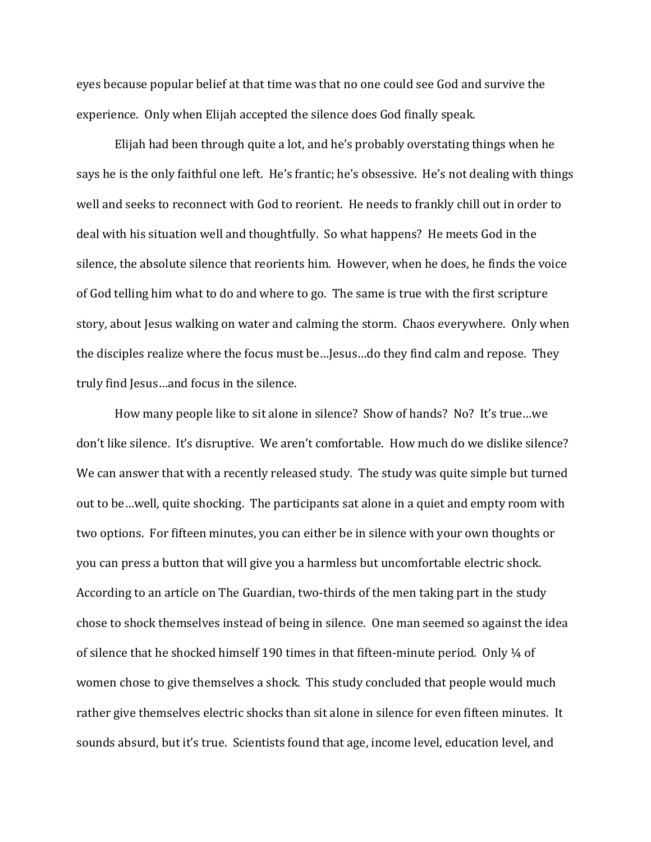eyes because popular belief at that time was that no one could see God and survive the experience. Only when Elijah accepted the silence does God finally speak.

Elijah had been through quite a lot, and he's probably overstating things when he says he is the only faithful one left. He's frantic; he's obsessive. He's not dealing with things well and seeks to reconnect with God to reorient. He needs to frankly chill out in order to deal with his situation well and thoughtfully. So what happens? He meets God in the silence, the absolute silence that reorients him. However, when he does, he finds the voice of God telling him what to do and where to go. The same is true with the first scripture story, about Jesus walking on water and calming the storm. Chaos everywhere. Only when the disciples realize where the focus must be…Jesus…do they find calm and repose. They truly find Jesus…and focus in the silence.

How many people like to sit alone in silence? Show of hands? No? It's true…we don't like silence. It's disruptive. We aren't comfortable. How much do we dislike silence? We can answer that with a recently released study. The study was quite simple but turned out to be…well, quite shocking. The participants sat alone in a quiet and empty room with two options. For fifteen minutes, you can either be in silence with your own thoughts or you can press a button that will give you a harmless but uncomfortable electric shock. According to an article on The Guardian, two-thirds of the men taking part in the study chose to shock themselves instead of being in silence. One man seemed so against the idea of silence that he shocked himself 190 times in that fifteen-minute period. Only  $\frac{1}{4}$  of women chose to give themselves a shock. This study concluded that people would much rather give themselves electric shocks than sit alone in silence for even fifteen minutes. It sounds absurd, but it's true. Scientists found that age, income level, education level, and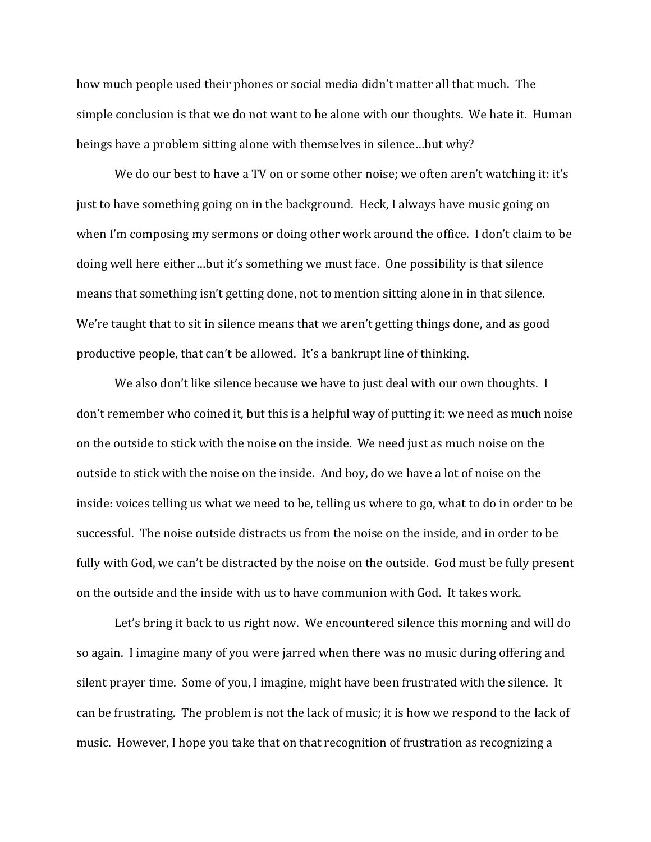how much people used their phones or social media didn't matter all that much. The simple conclusion is that we do not want to be alone with our thoughts. We hate it. Human beings have a problem sitting alone with themselves in silence…but why?

We do our best to have a TV on or some other noise; we often aren't watching it: it's just to have something going on in the background. Heck, I always have music going on when I'm composing my sermons or doing other work around the office. I don't claim to be doing well here either…but it's something we must face. One possibility is that silence means that something isn't getting done, not to mention sitting alone in in that silence. We're taught that to sit in silence means that we aren't getting things done, and as good productive people, that can't be allowed. It's a bankrupt line of thinking.

We also don't like silence because we have to just deal with our own thoughts. I don't remember who coined it, but this is a helpful way of putting it: we need as much noise on the outside to stick with the noise on the inside. We need just as much noise on the outside to stick with the noise on the inside. And boy, do we have a lot of noise on the inside: voices telling us what we need to be, telling us where to go, what to do in order to be successful. The noise outside distracts us from the noise on the inside, and in order to be fully with God, we can't be distracted by the noise on the outside. God must be fully present on the outside and the inside with us to have communion with God. It takes work.

Let's bring it back to us right now. We encountered silence this morning and will do so again. I imagine many of you were jarred when there was no music during offering and silent prayer time. Some of you, I imagine, might have been frustrated with the silence. It can be frustrating. The problem is not the lack of music; it is how we respond to the lack of music. However, I hope you take that on that recognition of frustration as recognizing a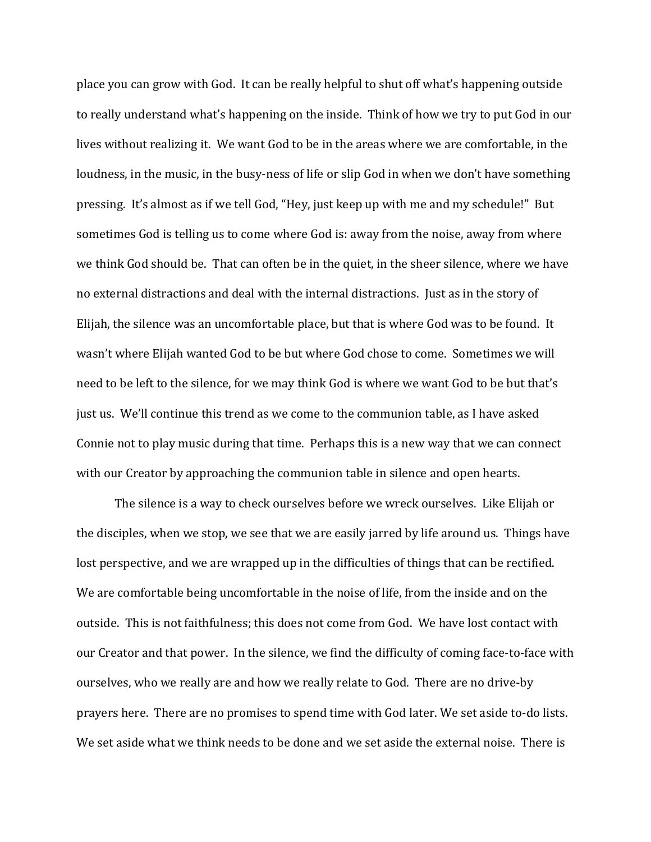place you can grow with God. It can be really helpful to shut off what's happening outside to really understand what's happening on the inside. Think of how we try to put God in our lives without realizing it. We want God to be in the areas where we are comfortable, in the loudness, in the music, in the busy-ness of life or slip God in when we don't have something pressing. It's almost as if we tell God, "Hey, just keep up with me and my schedule!" But sometimes God is telling us to come where God is: away from the noise, away from where we think God should be. That can often be in the quiet, in the sheer silence, where we have no external distractions and deal with the internal distractions. Just as in the story of Elijah, the silence was an uncomfortable place, but that is where God was to be found. It wasn't where Elijah wanted God to be but where God chose to come. Sometimes we will need to be left to the silence, for we may think God is where we want God to be but that's just us. We'll continue this trend as we come to the communion table, as I have asked Connie not to play music during that time. Perhaps this is a new way that we can connect with our Creator by approaching the communion table in silence and open hearts.

The silence is a way to check ourselves before we wreck ourselves. Like Elijah or the disciples, when we stop, we see that we are easily jarred by life around us. Things have lost perspective, and we are wrapped up in the difficulties of things that can be rectified. We are comfortable being uncomfortable in the noise of life, from the inside and on the outside. This is not faithfulness; this does not come from God. We have lost contact with our Creator and that power. In the silence, we find the difficulty of coming face-to-face with ourselves, who we really are and how we really relate to God. There are no drive-by prayers here. There are no promises to spend time with God later. We set aside to-do lists. We set aside what we think needs to be done and we set aside the external noise. There is